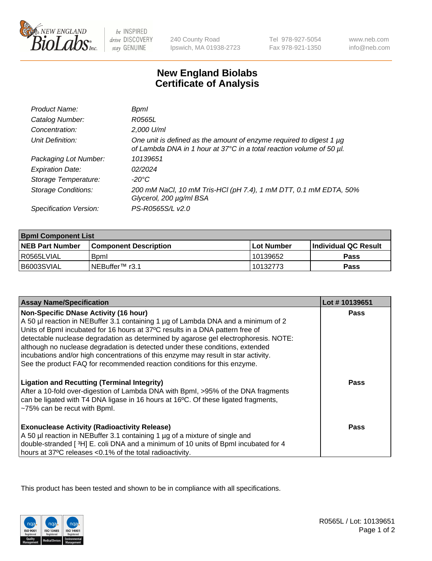

 $be$  INSPIRED drive DISCOVERY stay GENUINE

240 County Road Ipswich, MA 01938-2723 Tel 978-927-5054 Fax 978-921-1350

www.neb.com info@neb.com

## **New England Biolabs Certificate of Analysis**

| Product Name:           | Bpml                                                                                                                                             |
|-------------------------|--------------------------------------------------------------------------------------------------------------------------------------------------|
| Catalog Number:         | R0565L                                                                                                                                           |
| Concentration:          | 2,000 U/ml                                                                                                                                       |
| Unit Definition:        | One unit is defined as the amount of enzyme required to digest 1 $\mu$ g<br>of Lambda DNA in 1 hour at 37°C in a total reaction volume of 50 µl. |
| Packaging Lot Number:   | 10139651                                                                                                                                         |
| <b>Expiration Date:</b> | 02/2024                                                                                                                                          |
| Storage Temperature:    | -20°C                                                                                                                                            |
| Storage Conditions:     | 200 mM NaCl, 10 mM Tris-HCl (pH 7.4), 1 mM DTT, 0.1 mM EDTA, 50%<br>Glycerol, 200 µg/ml BSA                                                      |
| Specification Version:  | PS-R0565S/L v2.0                                                                                                                                 |

| <b>Bpml Component List</b> |                         |             |                             |  |
|----------------------------|-------------------------|-------------|-----------------------------|--|
| <b>NEB Part Number</b>     | l Component Description | ⊺Lot Number | <b>Individual QC Result</b> |  |
| R0565LVIAL                 | <b>B</b> <sub>pm</sub>  | 10139652    | <b>Pass</b>                 |  |
| B6003SVIAL                 | INEBuffer™ r3.1         | 10132773    | Pass                        |  |

| <b>Assay Name/Specification</b>                                                                                                                                      | Lot #10139651 |
|----------------------------------------------------------------------------------------------------------------------------------------------------------------------|---------------|
| <b>Non-Specific DNase Activity (16 hour)</b>                                                                                                                         | <b>Pass</b>   |
| A 50 µl reaction in NEBuffer 3.1 containing 1 µg of Lambda DNA and a minimum of 2                                                                                    |               |
| Units of BpmI incubated for 16 hours at 37°C results in a DNA pattern free of<br>detectable nuclease degradation as determined by agarose gel electrophoresis. NOTE: |               |
| although no nuclease degradation is detected under these conditions, extended                                                                                        |               |
| incubations and/or high concentrations of this enzyme may result in star activity.                                                                                   |               |
| See the product FAQ for recommended reaction conditions for this enzyme.                                                                                             |               |
|                                                                                                                                                                      |               |
| <b>Ligation and Recutting (Terminal Integrity)</b>                                                                                                                   | <b>Pass</b>   |
| After a 10-fold over-digestion of Lambda DNA with Bpml, >95% of the DNA fragments                                                                                    |               |
| can be ligated with T4 DNA ligase in 16 hours at 16°C. Of these ligated fragments,<br>~75% can be recut with Bpml.                                                   |               |
|                                                                                                                                                                      |               |
| <b>Exonuclease Activity (Radioactivity Release)</b>                                                                                                                  | Pass          |
| A 50 µl reaction in NEBuffer 3.1 containing 1 µg of a mixture of single and                                                                                          |               |
| double-stranded [3H] E. coli DNA and a minimum of 10 units of BpmI incubated for 4                                                                                   |               |
| hours at 37°C releases <0.1% of the total radioactivity.                                                                                                             |               |

This product has been tested and shown to be in compliance with all specifications.